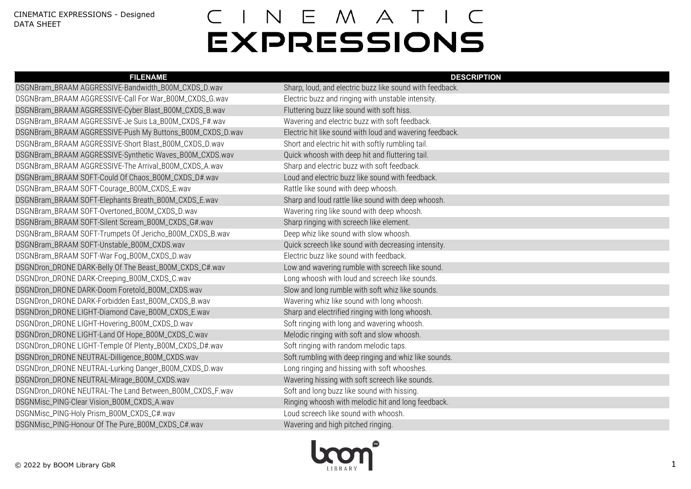| <b>FILENAME</b>                                           | <b>DESCRIPTION</b>                                       |
|-----------------------------------------------------------|----------------------------------------------------------|
| DSGNBram_BRAAM AGGRESSIVE-Bandwidth_B00M_CXDS_D.wav       | Sharp, loud, and electric buzz like sound with feedback. |
| DSGNBram_BRAAM AGGRESSIVE-Call For War_B00M_CXDS_G.wav    | Electric buzz and ringing with unstable intensity.       |
| DSGNBram_BRAAM AGGRESSIVE-Cyber Blast_B00M_CXDS_B.wav     | Fluttering buzz like sound with soft hiss.               |
| DSGNBram_BRAAM AGGRESSIVE-Je Suis La_B00M_CXDS_F#.wav     | Wavering and electric buzz with soft feedback.           |
| DSGNBram_BRAAM AGGRESSIVE-Push My Buttons_B00M_CXDS_D.wav | Electric hit like sound with loud and wavering feedback. |
| DSGNBram_BRAAM AGGRESSIVE-Short Blast_B00M_CXDS_D.wav     | Short and electric hit with softly rumbling tail.        |
| DSGNBram_BRAAM AGGRESSIVE-Synthetic Waves_B00M_CXDS.wav   | Quick whoosh with deep hit and fluttering tail.          |
| DSGNBram_BRAAM AGGRESSIVE-The Arrival_B00M_CXDS_A.wav     | Sharp and electric buzz with soft feedback.              |
| DSGNBram_BRAAM SOFT-Could Of Chaos_B00M_CXDS_D#.wav       | Loud and electric buzz like sound with feedback.         |
| DSGNBram_BRAAM SOFT-Courage_B00M_CXDS_E.wav               | Rattle like sound with deep whoosh.                      |
| DSGNBram_BRAAM SOFT-Elephants Breath_B00M_CXDS_E.wav      | Sharp and loud rattle like sound with deep whoosh.       |
| DSGNBram_BRAAM SOFT-Overtoned_B00M_CXDS_D.wav             | Wavering ring like sound with deep whoosh.               |
| DSGNBram_BRAAM SOFT-Silent Scream_B00M_CXDS_G#.wav        | Sharp ringing with screech like element.                 |
| DSGNBram_BRAAM SOFT-Trumpets Of Jericho_B00M_CXDS_B.wav   | Deep whiz like sound with slow whoosh.                   |
| DSGNBram_BRAAM SOFT-Unstable_B00M_CXDS.wav                | Quick screech like sound with decreasing intensity.      |
| DSGNBram_BRAAM SOFT-War Fog_B00M_CXDS_D.wav               | Electric buzz like sound with feedback.                  |
| DSGNDron_DRONE DARK-Belly Of The Beast_B00M_CXDS_C#.wav   | Low and wavering rumble with screech like sound.         |
| DSGNDron_DRONE DARK-Creeping_B00M_CXDS_C.wav              | Long whoosh with loud and screech like sounds.           |
| DSGNDron_DRONE DARK-Doom Foretold_B00M_CXDS.wav           | Slow and long rumble with soft whiz like sounds.         |
| DSGNDron_DRONE DARK-Forbidden East_B00M_CXDS_B.wav        | Wavering whiz like sound with long whoosh.               |
| DSGNDron_DRONE LIGHT-Diamond Cave_B00M_CXDS_E.wav         | Sharp and electrified ringing with long whoosh.          |
| DSGNDron_DRONE LIGHT-Hovering_B00M_CXDS_D.wav             | Soft ringing with long and wavering whoosh.              |
| DSGNDron_DRONE LIGHT-Land Of Hope_B00M_CXDS_C.wav         | Melodic ringing with soft and slow whoosh.               |
| DSGNDron_DRONE LIGHT-Temple Of Plenty_B00M_CXDS_D#.wav    | Soft ringing with random melodic taps.                   |
| DSGNDron_DRONE NEUTRAL-Dilligence_B00M_CXDS.wav           | Soft rumbling with deep ringing and whiz like sounds.    |
| DSGNDron_DRONE NEUTRAL-Lurking Danger_B00M_CXDS_D.wav     | Long ringing and hissing with soft whooshes.             |
| DSGNDron_DRONE NEUTRAL-Mirage_B00M_CXDS.wav               | Wavering hissing with soft screech like sounds.          |
| DSGNDron_DRONE NEUTRAL-The Land Between_B00M_CXDS_F.wav   | Soft and long buzz like sound with hissing.              |
| DSGNMisc_PING-Clear Vision_B00M_CXDS_A.wav                | Ringing whoosh with melodic hit and long feedback.       |
| DSGNMisc_PING-Holy Prism_B00M_CXDS_C#.wav                 | Loud screech like sound with whoosh.                     |
| DSGNMisc_PING-Honour Of The Pure_B00M_CXDS_C#.wav         | Wavering and high pitched ringing.                       |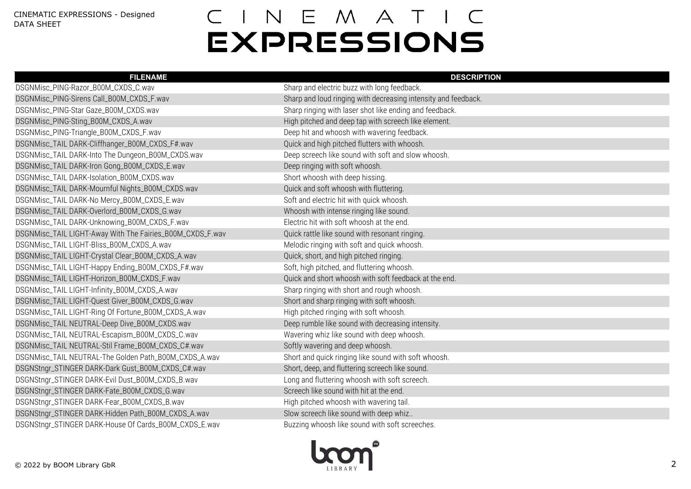| <b>FILENAME</b>                                           | <b>DESCRIPTION</b>                                             |
|-----------------------------------------------------------|----------------------------------------------------------------|
| DSGNMisc_PING-Razor_B00M_CXDS_C.wav                       | Sharp and electric buzz with long feedback.                    |
| DSGNMisc_PING-Sirens Call_B00M_CXDS_F.wav                 | Sharp and loud ringing with decreasing intensity and feedback. |
| DSGNMisc_PING-Star Gaze_B00M_CXDS.wav                     | Sharp ringing with laser shot like ending and feedback.        |
| DSGNMisc_PING-Sting_B00M_CXDS_A.wav                       | High pitched and deep tap with screech like element.           |
| DSGNMisc_PING-Triangle_B00M_CXDS_F.wav                    | Deep hit and whoosh with wavering feedback.                    |
| DSGNMisc_TAIL DARK-Cliffhanger_B00M_CXDS_F#.wav           | Quick and high pitched flutters with whoosh.                   |
| DSGNMisc_TAIL DARK-Into The Dungeon_B00M_CXDS.wav         | Deep screech like sound with soft and slow whoosh.             |
| DSGNMisc_TAIL DARK-Iron Gong_B00M_CXDS_E.wav              | Deep ringing with soft whoosh.                                 |
| DSGNMisc_TAIL DARK-Isolation_B00M_CXDS.wav                | Short whoosh with deep hissing.                                |
| DSGNMisc_TAIL DARK-Mournful Nights_B00M_CXDS.wav          | Quick and soft whoosh with fluttering.                         |
| DSGNMisc_TAIL DARK-No Mercy_B00M_CXDS_E.wav               | Soft and electric hit with quick whoosh.                       |
| DSGNMisc_TAIL DARK-Overlord_B00M_CXDS_G.wav               | Whoosh with intense ringing like sound.                        |
| DSGNMisc_TAIL DARK-Unknowing_B00M_CXDS_F.wav              | Electric hit with soft whoosh at the end.                      |
| DSGNMisc_TAIL LIGHT-Away With The Fairies_B00M_CXDS_F.wav | Quick rattle like sound with resonant ringing.                 |
| DSGNMisc_TAIL LIGHT-Bliss_B00M_CXDS_A.wav                 | Melodic ringing with soft and quick whoosh.                    |
| DSGNMisc_TAIL LIGHT-Crystal Clear_B00M_CXDS_A.wav         | Quick, short, and high pitched ringing.                        |
| DSGNMisc_TAIL LIGHT-Happy Ending_B00M_CXDS_F#.wav         | Soft, high pitched, and fluttering whoosh.                     |
| DSGNMisc_TAIL LIGHT-Horizon_B00M_CXDS_F.wav               | Quick and short whoosh with soft feedback at the end.          |
| DSGNMisc_TAIL LIGHT-Infinity_B00M_CXDS_A.wav              | Sharp ringing with short and rough whoosh.                     |
| DSGNMisc_TAIL LIGHT-Quest Giver_B00M_CXDS_G.wav           | Short and sharp ringing with soft whoosh.                      |
| DSGNMisc_TAIL LIGHT-Ring Of Fortune_B00M_CXDS_A.wav       | High pitched ringing with soft whoosh.                         |
| DSGNMisc_TAIL NEUTRAL-Deep Dive_B00M_CXDS.wav             | Deep rumble like sound with decreasing intensity.              |
| DSGNMisc_TAIL NEUTRAL-Escapism_B00M_CXDS_C.wav            | Wavering whiz like sound with deep whoosh.                     |
| DSGNMisc_TAIL NEUTRAL-Stil Frame_B00M_CXDS_C#.wav         | Softly wavering and deep whoosh.                               |
| DSGNMisc_TAIL NEUTRAL-The Golden Path_B00M_CXDS_A.wav     | Short and quick ringing like sound with soft whoosh.           |
| DSGNStngr_STINGER DARK-Dark Gust_B00M_CXDS_C#.wav         | Short, deep, and fluttering screech like sound.                |
| DSGNStngr_STINGER DARK-Evil Dust_B00M_CXDS_B.wav          | Long and fluttering whoosh with soft screech.                  |
| DSGNStngr_STINGER DARK-Fate_B00M_CXDS_G.wav               | Screech like sound with hit at the end.                        |
| DSGNStngr_STINGER DARK-Fear_B00M_CXDS_B.wav               | High pitched whoosh with wavering tail.                        |
| DSGNStngr_STINGER DARK-Hidden Path_B00M_CXDS_A.wav        | Slow screech like sound with deep whiz                         |
| DSGNStngr_STINGER DARK-House Of Cards_B00M_CXDS_E.wav     | Buzzing whoosh like sound with soft screeches.                 |

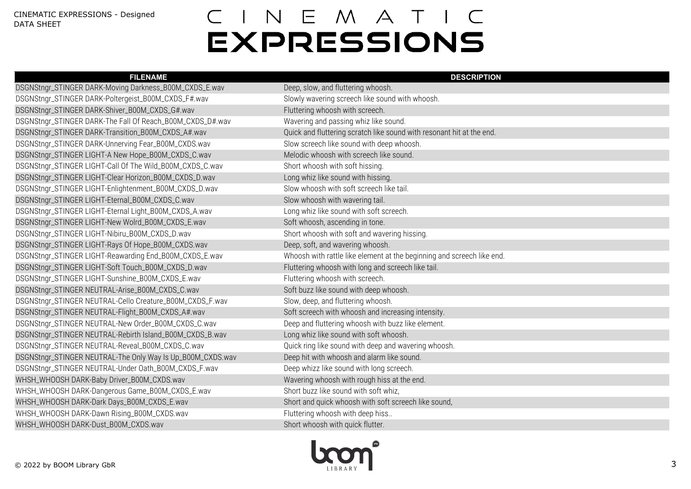| <b>FILENAME</b>                                            | <b>DESCRIPTION</b>                                                     |
|------------------------------------------------------------|------------------------------------------------------------------------|
| DSGNStngr_STINGER DARK-Moving Darkness_B00M_CXDS_E.wav     | Deep, slow, and fluttering whoosh.                                     |
| DSGNStngr_STINGER DARK-Poltergeist_B00M_CXDS_F#.wav        | Slowly wavering screech like sound with whoosh.                        |
| DSGNStngr_STINGER DARK-Shiver_B00M_CXDS_G#.wav             | Fluttering whoosh with screech.                                        |
| DSGNStngr_STINGER DARK-The Fall Of Reach_B00M_CXDS_D#.wav  | Wavering and passing whiz like sound.                                  |
| DSGNStngr_STINGER DARK-Transition_B00M_CXDS_A#.wav         | Quick and fluttering scratch like sound with resonant hit at the end.  |
| DSGNStngr_STINGER DARK-Unnerving Fear_B00M_CXDS.wav        | Slow screech like sound with deep whoosh.                              |
| DSGNStngr_STINGER LIGHT-A New Hope_B00M_CXDS_C.wav         | Melodic whoosh with screech like sound.                                |
| DSGNStngr_STINGER LIGHT-Call Of The Wild_B00M_CXDS_C.wav   | Short whoosh with soft hissing.                                        |
| DSGNStngr_STINGER LIGHT-Clear Horizon_B00M_CXDS_D.wav      | Long whiz like sound with hissing.                                     |
| DSGNStngr_STINGER LIGHT-Enlightenment_B00M_CXDS_D.wav      | Slow whoosh with soft screech like tail.                               |
| DSGNStngr_STINGER LIGHT-Eternal_B00M_CXDS_C.wav            | Slow whoosh with wavering tail.                                        |
| DSGNStngr_STINGER LIGHT-Eternal Light_B00M_CXDS_A.wav      | Long whiz like sound with soft screech.                                |
| DSGNStngr_STINGER LIGHT-New Wolrd_B00M_CXDS_E.wav          | Soft whoosh, ascending in tone.                                        |
| DSGNStngr_STINGER LIGHT-Nibiru_B00M_CXDS_D.wav             | Short whoosh with soft and wavering hissing.                           |
| DSGNStngr_STINGER LIGHT-Rays Of Hope_B00M_CXDS.wav         | Deep, soft, and wavering whoosh.                                       |
| DSGNStngr_STINGER LIGHT-Reawarding End_B00M_CXDS_E.wav     | Whoosh with rattle like element at the beginning and screech like end. |
| DSGNStngr_STINGER LIGHT-Soft Touch_B00M_CXDS_D.wav         | Fluttering whoosh with long and screech like tail.                     |
| DSGNStngr_STINGER LIGHT-Sunshine_B00M_CXDS_E.wav           | Fluttering whoosh with screech.                                        |
| DSGNStngr_STINGER NEUTRAL-Arise_B00M_CXDS_C.wav            | Soft buzz like sound with deep whoosh.                                 |
| DSGNStngr_STINGER NEUTRAL-Cello Creature_B00M_CXDS_F.wav   | Slow, deep, and fluttering whoosh.                                     |
| DSGNStngr_STINGER NEUTRAL-Flight_B00M_CXDS_A#.wav          | Soft screech with whoosh and increasing intensity.                     |
| DSGNStngr_STINGER NEUTRAL-New Order_B00M_CXDS_C.wav        | Deep and fluttering whoosh with buzz like element.                     |
| DSGNStngr_STINGER NEUTRAL-Rebirth Island_B00M_CXDS_B.wav   | Long whiz like sound with soft whoosh.                                 |
| DSGNStngr_STINGER NEUTRAL-Reveal_B00M_CXDS_C.wav           | Quick ring like sound with deep and wavering whoosh.                   |
| DSGNStngr_STINGER NEUTRAL-The Only Way Is Up_B00M_CXDS.wav | Deep hit with whoosh and alarm like sound.                             |
| DSGNStngr_STINGER NEUTRAL-Under Oath_B00M_CXDS_F.wav       | Deep whizz like sound with long screech.                               |
| WHSH_WHOOSH DARK-Baby Driver_B00M_CXDS.wav                 | Wavering whoosh with rough hiss at the end.                            |
| WHSH_WHOOSH DARK-Dangerous Game_B00M_CXDS_E.wav            | Short buzz like sound with soft whiz,                                  |
| WHSH_WHOOSH DARK-Dark Days_B00M_CXDS_E.wav                 | Short and quick whoosh with soft screech like sound,                   |
| WHSH_WHOOSH DARK-Dawn Rising_B00M_CXDS.wav                 | Fluttering whoosh with deep hiss                                       |
| WHSH_WHOOSH DARK-Dust_B00M_CXDS.wav                        | Short whoosh with quick flutter.                                       |